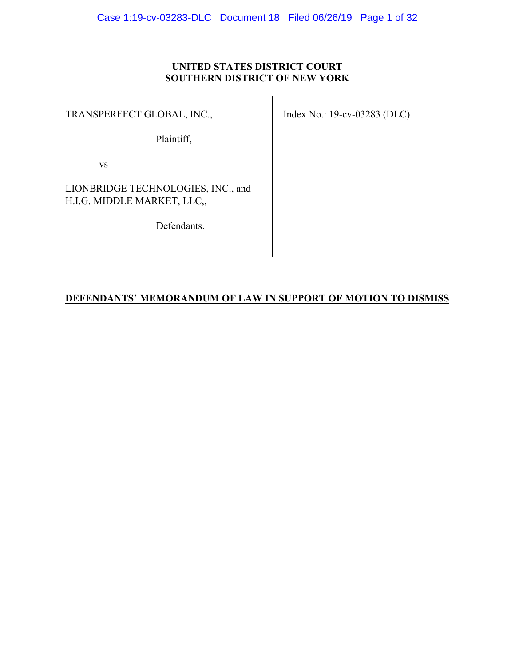# **UNITED STATES DISTRICT COURT SOUTHERN DISTRICT OF NEW YORK**

TRANSPERFECT GLOBAL, INC.,

Plaintiff,

-vs-

LIONBRIDGE TECHNOLOGIES, INC., and H.I.G. MIDDLE MARKET, LLC,,

Defendants.

Index No.: 19-cv-03283 (DLC)

# **DEFENDANTS' MEMORANDUM OF LAW IN SUPPORT OF MOTION TO DISMISS**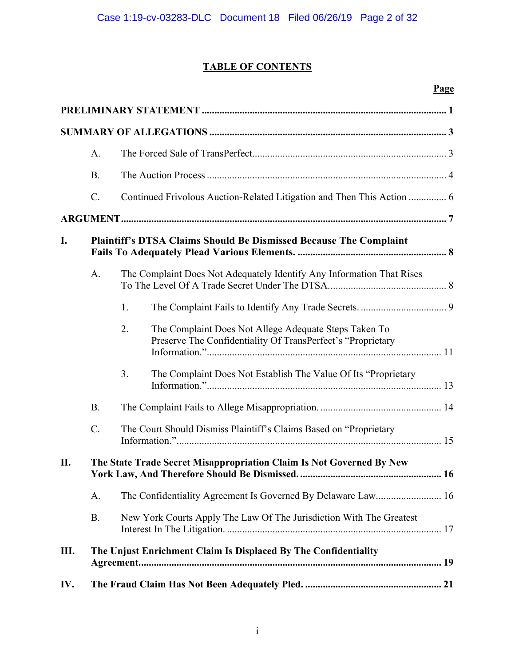# **TABLE OF CONTENTS**

# **Page**

|     | A.              |                                                                                                                            |  |  |  |
|-----|-----------------|----------------------------------------------------------------------------------------------------------------------------|--|--|--|
|     | <b>B.</b>       |                                                                                                                            |  |  |  |
|     | $\mathcal{C}$ . |                                                                                                                            |  |  |  |
|     |                 |                                                                                                                            |  |  |  |
| I.  |                 | Plaintiff's DTSA Claims Should Be Dismissed Because The Complaint                                                          |  |  |  |
|     | A.              | The Complaint Does Not Adequately Identify Any Information That Rises                                                      |  |  |  |
|     |                 | 1.                                                                                                                         |  |  |  |
|     |                 | 2.<br>The Complaint Does Not Allege Adequate Steps Taken To<br>Preserve The Confidentiality Of TransPerfect's "Proprietary |  |  |  |
|     |                 | 3.<br>The Complaint Does Not Establish The Value Of Its "Proprietary                                                       |  |  |  |
|     | <b>B.</b>       |                                                                                                                            |  |  |  |
|     | $C$ .           | The Court Should Dismiss Plaintiff's Claims Based on "Proprietary                                                          |  |  |  |
| II. |                 | The State Trade Secret Misappropriation Claim Is Not Governed By New                                                       |  |  |  |
|     | А.              |                                                                                                                            |  |  |  |
|     | <b>B.</b>       | New York Courts Apply The Law Of The Jurisdiction With The Greatest                                                        |  |  |  |
| Ш.  |                 | The Unjust Enrichment Claim Is Displaced By The Confidentiality                                                            |  |  |  |
| IV. |                 |                                                                                                                            |  |  |  |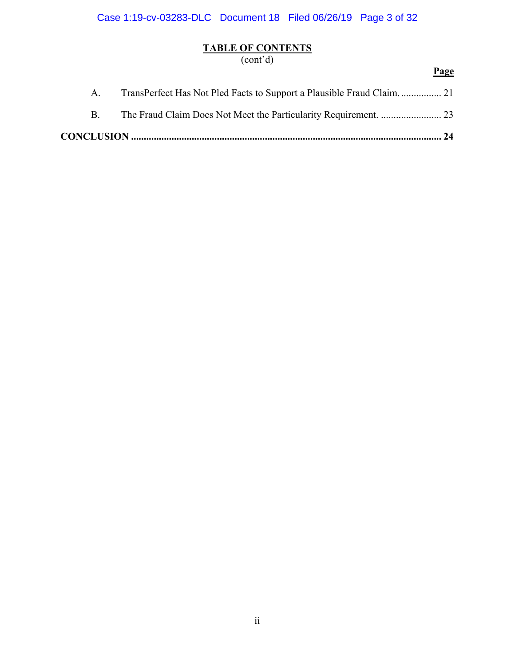Case 1:19-cv-03283-DLC Document 18 Filed 06/26/19 Page 3 of 32

# **TABLE OF CONTENTS**

(cont'd)

|             | Page |
|-------------|------|
| A.          |      |
| $B_{\cdot}$ |      |
|             |      |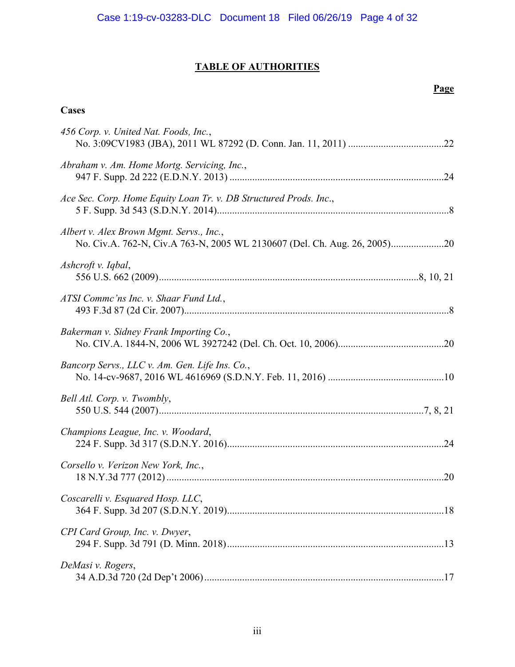# **TABLE OF AUTHORITIES**

# **Page**

# **Cases**

| 456 Corp. v. United Nat. Foods, Inc.,                             |  |
|-------------------------------------------------------------------|--|
| Abraham v. Am. Home Mortg. Servicing, Inc.,                       |  |
| Ace Sec. Corp. Home Equity Loan Tr. v. DB Structured Prods. Inc., |  |
| Albert v. Alex Brown Mgmt. Servs., Inc.,                          |  |
| Ashcroft v. Iqbal,                                                |  |
| ATSI Comme'ns Inc. v. Shaar Fund Ltd.,                            |  |
| Bakerman v. Sidney Frank Importing Co.,                           |  |
| Bancorp Servs., LLC v. Am. Gen. Life Ins. Co.,                    |  |
| Bell Atl. Corp. v. Twombly,                                       |  |
| Champions League, Inc. v. Woodard,                                |  |
| Corsello v. Verizon New York, Inc.,                               |  |
| Coscarelli v. Esquared Hosp. LLC,                                 |  |
| CPI Card Group, Inc. v. Dwyer,                                    |  |
| DeMasi v. Rogers,                                                 |  |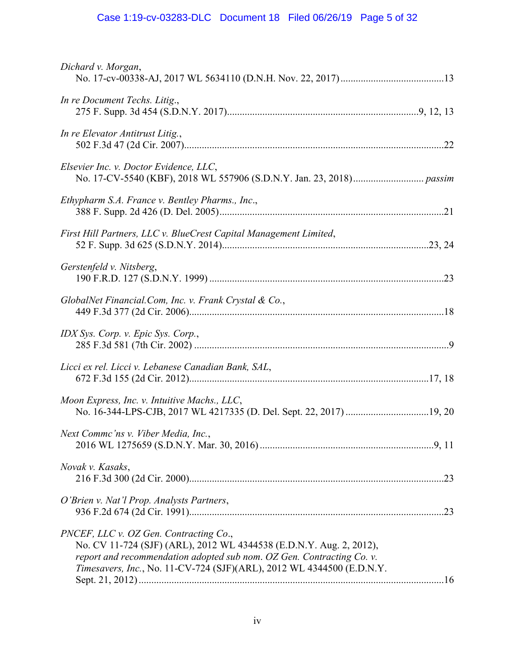# Case 1:19-cv-03283-DLC Document 18 Filed 06/26/19 Page 5 of 32

| Dichard v. Morgan,                                                                                                                                                                                                                                              |  |
|-----------------------------------------------------------------------------------------------------------------------------------------------------------------------------------------------------------------------------------------------------------------|--|
| In re Document Techs. Litig.,                                                                                                                                                                                                                                   |  |
| In re Elevator Antitrust Litig.,                                                                                                                                                                                                                                |  |
| Elsevier Inc. v. Doctor Evidence, LLC,                                                                                                                                                                                                                          |  |
| Ethypharm S.A. France v. Bentley Pharms., Inc.,                                                                                                                                                                                                                 |  |
| First Hill Partners, LLC v. BlueCrest Capital Management Limited,                                                                                                                                                                                               |  |
| Gerstenfeld v. Nitsberg,                                                                                                                                                                                                                                        |  |
| GlobalNet Financial.Com, Inc. v. Frank Crystal & Co.,                                                                                                                                                                                                           |  |
| IDX Sys. Corp. v. Epic Sys. Corp.,                                                                                                                                                                                                                              |  |
| Licci ex rel. Licci v. Lebanese Canadian Bank, SAL,                                                                                                                                                                                                             |  |
| Moon Express, Inc. v. Intuitive Machs., LLC,                                                                                                                                                                                                                    |  |
| Next Commc'ns v. Viber Media, Inc.,                                                                                                                                                                                                                             |  |
| Novak v. Kasaks,                                                                                                                                                                                                                                                |  |
| O'Brien v. Nat'l Prop. Analysts Partners,                                                                                                                                                                                                                       |  |
| PNCEF, LLC v. OZ Gen. Contracting Co.,<br>No. CV 11-724 (SJF) (ARL), 2012 WL 4344538 (E.D.N.Y. Aug. 2, 2012),<br>report and recommendation adopted sub nom. OZ Gen. Contracting Co. v.<br>Timesavers, Inc., No. 11-CV-724 (SJF)(ARL), 2012 WL 4344500 (E.D.N.Y. |  |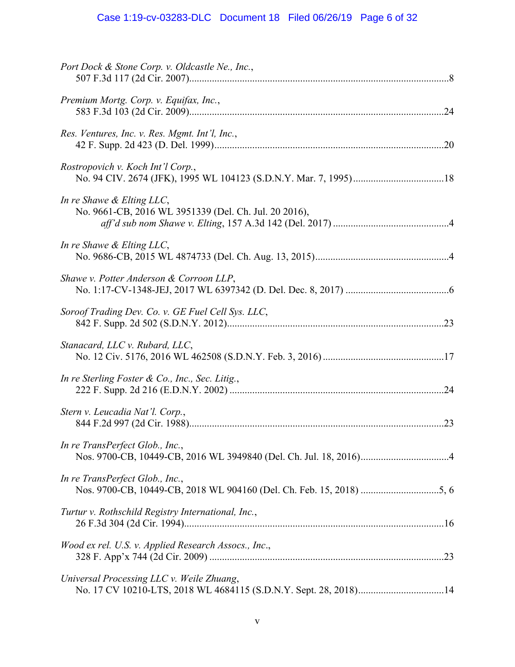# Case 1:19-cv-03283-DLC Document 18 Filed 06/26/19 Page 6 of 32

| Port Dock & Stone Corp. v. Oldcastle Ne., Inc.,                                    |
|------------------------------------------------------------------------------------|
| Premium Mortg. Corp. v. Equifax, Inc.,                                             |
| Res. Ventures, Inc. v. Res. Mgmt. Int'l, Inc.,                                     |
| Rostropovich v. Koch Int'l Corp.,                                                  |
| In re Shawe & Elting LLC,<br>No. 9661-CB, 2016 WL 3951339 (Del. Ch. Jul. 20 2016), |
| In re Shawe & Elting LLC,                                                          |
| Shawe v. Potter Anderson & Corroon LLP,                                            |
| Soroof Trading Dev. Co. v. GE Fuel Cell Sys. LLC,                                  |
| Stanacard, LLC v. Rubard, LLC,                                                     |
| In re Sterling Foster & Co., Inc., Sec. Litig.,                                    |
| Stern v. Leucadia Nat'l. Corp.,                                                    |
| In re TransPerfect Glob., Inc.,                                                    |
| In re TransPerfect Glob., Inc.,                                                    |
| Turtur v. Rothschild Registry International, Inc.,                                 |
| Wood ex rel. U.S. v. Applied Research Assocs., Inc.,                               |
| Universal Processing LLC v. Weile Zhuang,                                          |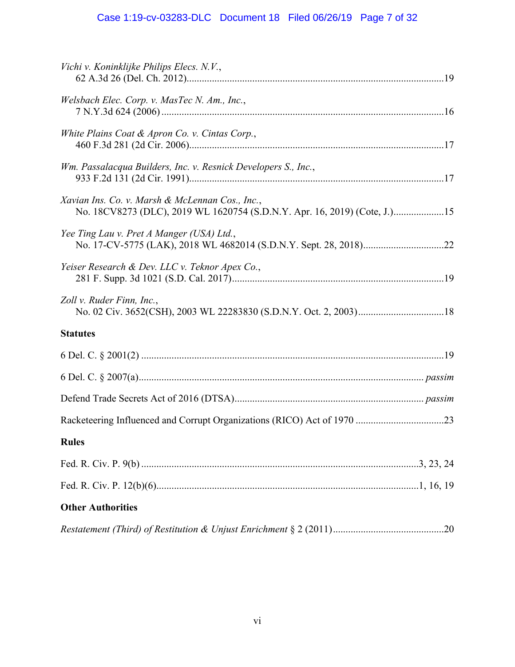# Case 1:19-cv-03283-DLC Document 18 Filed 06/26/19 Page 7 of 32

| Vichi v. Koninklijke Philips Elecs. N.V.,                                                                                    |
|------------------------------------------------------------------------------------------------------------------------------|
| Welsbach Elec. Corp. v. MasTec N. Am., Inc.,                                                                                 |
| White Plains Coat & Apron Co. v. Cintas Corp.,                                                                               |
| Wm. Passalacqua Builders, Inc. v. Resnick Developers S., Inc.,                                                               |
| Xavian Ins. Co. v. Marsh & McLennan Cos., Inc.,<br>No. 18CV8273 (DLC), 2019 WL 1620754 (S.D.N.Y. Apr. 16, 2019) (Cote, J.)15 |
| Yee Ting Lau v. Pret A Manger (USA) Ltd.,                                                                                    |
| Yeiser Research & Dev. LLC v. Teknor Apex Co.,                                                                               |
| Zoll v. Ruder Finn, Inc.,                                                                                                    |
| <b>Statutes</b>                                                                                                              |
|                                                                                                                              |
|                                                                                                                              |
|                                                                                                                              |
|                                                                                                                              |
| <b>Rules</b>                                                                                                                 |
|                                                                                                                              |
|                                                                                                                              |
| <b>Other Authorities</b>                                                                                                     |
|                                                                                                                              |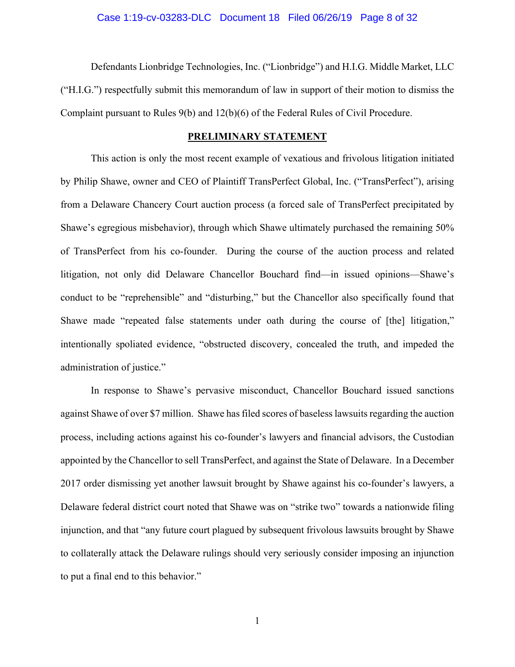#### Case 1:19-cv-03283-DLC Document 18 Filed 06/26/19 Page 8 of 32

Defendants Lionbridge Technologies, Inc. ("Lionbridge") and H.I.G. Middle Market, LLC ("H.I.G.") respectfully submit this memorandum of law in support of their motion to dismiss the Complaint pursuant to Rules 9(b) and 12(b)(6) of the Federal Rules of Civil Procedure.

#### **PRELIMINARY STATEMENT**

This action is only the most recent example of vexatious and frivolous litigation initiated by Philip Shawe, owner and CEO of Plaintiff TransPerfect Global, Inc. ("TransPerfect"), arising from a Delaware Chancery Court auction process (a forced sale of TransPerfect precipitated by Shawe's egregious misbehavior), through which Shawe ultimately purchased the remaining 50% of TransPerfect from his co-founder. During the course of the auction process and related litigation, not only did Delaware Chancellor Bouchard find—in issued opinions—Shawe's conduct to be "reprehensible" and "disturbing," but the Chancellor also specifically found that Shawe made "repeated false statements under oath during the course of [the] litigation," intentionally spoliated evidence, "obstructed discovery, concealed the truth, and impeded the administration of justice."

In response to Shawe's pervasive misconduct, Chancellor Bouchard issued sanctions against Shawe of over \$7 million. Shawe has filed scores of baseless lawsuits regarding the auction process, including actions against his co-founder's lawyers and financial advisors, the Custodian appointed by the Chancellor to sell TransPerfect, and against the State of Delaware. In a December 2017 order dismissing yet another lawsuit brought by Shawe against his co-founder's lawyers, a Delaware federal district court noted that Shawe was on "strike two" towards a nationwide filing injunction, and that "any future court plagued by subsequent frivolous lawsuits brought by Shawe to collaterally attack the Delaware rulings should very seriously consider imposing an injunction to put a final end to this behavior."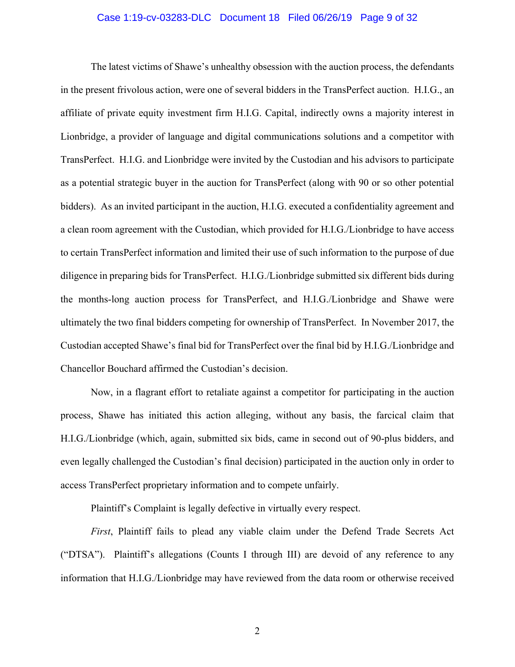#### Case 1:19-cv-03283-DLC Document 18 Filed 06/26/19 Page 9 of 32

The latest victims of Shawe's unhealthy obsession with the auction process, the defendants in the present frivolous action, were one of several bidders in the TransPerfect auction. H.I.G., an affiliate of private equity investment firm H.I.G. Capital, indirectly owns a majority interest in Lionbridge, a provider of language and digital communications solutions and a competitor with TransPerfect. H.I.G. and Lionbridge were invited by the Custodian and his advisors to participate as a potential strategic buyer in the auction for TransPerfect (along with 90 or so other potential bidders). As an invited participant in the auction, H.I.G. executed a confidentiality agreement and a clean room agreement with the Custodian, which provided for H.I.G./Lionbridge to have access to certain TransPerfect information and limited their use of such information to the purpose of due diligence in preparing bids for TransPerfect. H.I.G./Lionbridge submitted six different bids during the months-long auction process for TransPerfect, and H.I.G./Lionbridge and Shawe were ultimately the two final bidders competing for ownership of TransPerfect. In November 2017, the Custodian accepted Shawe's final bid for TransPerfect over the final bid by H.I.G./Lionbridge and Chancellor Bouchard affirmed the Custodian's decision.

 Now, in a flagrant effort to retaliate against a competitor for participating in the auction process, Shawe has initiated this action alleging, without any basis, the farcical claim that H.I.G./Lionbridge (which, again, submitted six bids, came in second out of 90-plus bidders, and even legally challenged the Custodian's final decision) participated in the auction only in order to access TransPerfect proprietary information and to compete unfairly.

Plaintiff's Complaint is legally defective in virtually every respect.

*First*, Plaintiff fails to plead any viable claim under the Defend Trade Secrets Act ("DTSA"). Plaintiff's allegations (Counts I through III) are devoid of any reference to any information that H.I.G./Lionbridge may have reviewed from the data room or otherwise received

2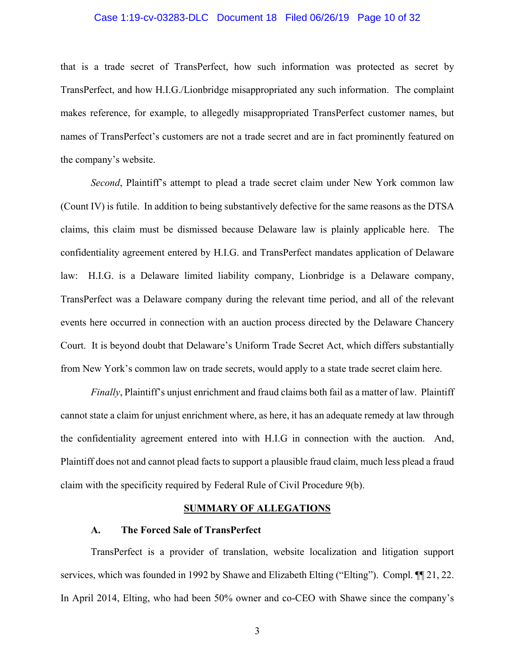#### Case 1:19-cv-03283-DLC Document 18 Filed 06/26/19 Page 10 of 32

that is a trade secret of TransPerfect, how such information was protected as secret by TransPerfect, and how H.I.G./Lionbridge misappropriated any such information. The complaint makes reference, for example, to allegedly misappropriated TransPerfect customer names, but names of TransPerfect's customers are not a trade secret and are in fact prominently featured on the company's website.

*Second*, Plaintiff's attempt to plead a trade secret claim under New York common law (Count IV) is futile. In addition to being substantively defective for the same reasons as the DTSA claims, this claim must be dismissed because Delaware law is plainly applicable here. The confidentiality agreement entered by H.I.G. and TransPerfect mandates application of Delaware law: H.I.G. is a Delaware limited liability company, Lionbridge is a Delaware company, TransPerfect was a Delaware company during the relevant time period, and all of the relevant events here occurred in connection with an auction process directed by the Delaware Chancery Court. It is beyond doubt that Delaware's Uniform Trade Secret Act, which differs substantially from New York's common law on trade secrets, would apply to a state trade secret claim here.

*Finally*, Plaintiff's unjust enrichment and fraud claims both fail as a matter of law. Plaintiff cannot state a claim for unjust enrichment where, as here, it has an adequate remedy at law through the confidentiality agreement entered into with H.I.G in connection with the auction. And, Plaintiff does not and cannot plead facts to support a plausible fraud claim, much less plead a fraud claim with the specificity required by Federal Rule of Civil Procedure 9(b).

#### **SUMMARY OF ALLEGATIONS**

#### **A. The Forced Sale of TransPerfect**

TransPerfect is a provider of translation, website localization and litigation support services, which was founded in 1992 by Shawe and Elizabeth Elting ("Elting"). Compl. ¶¶ 21, 22. In April 2014, Elting, who had been 50% owner and co-CEO with Shawe since the company's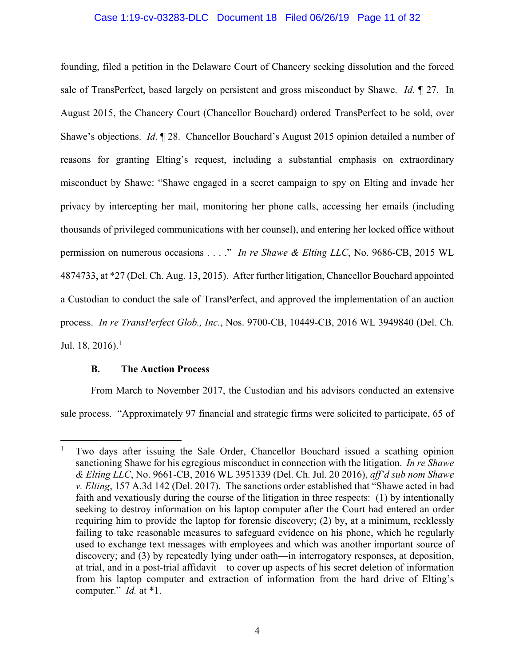## Case 1:19-cv-03283-DLC Document 18 Filed 06/26/19 Page 11 of 32

founding, filed a petition in the Delaware Court of Chancery seeking dissolution and the forced sale of TransPerfect, based largely on persistent and gross misconduct by Shawe. *Id*. ¶ 27. In August 2015, the Chancery Court (Chancellor Bouchard) ordered TransPerfect to be sold, over Shawe's objections. *Id*. ¶ 28. Chancellor Bouchard's August 2015 opinion detailed a number of reasons for granting Elting's request, including a substantial emphasis on extraordinary misconduct by Shawe: "Shawe engaged in a secret campaign to spy on Elting and invade her privacy by intercepting her mail, monitoring her phone calls, accessing her emails (including thousands of privileged communications with her counsel), and entering her locked office without permission on numerous occasions . . . ." *In re Shawe & Elting LLC*, No. 9686-CB, 2015 WL 4874733, at \*27 (Del. Ch. Aug. 13, 2015). After further litigation, Chancellor Bouchard appointed a Custodian to conduct the sale of TransPerfect, and approved the implementation of an auction process. *In re TransPerfect Glob., Inc.*, Nos. 9700-CB, 10449-CB, 2016 WL 3949840 (Del. Ch. Jul. 18, 2016).<sup>1</sup>

#### **B. The Auction Process**

 $\overline{a}$ 

From March to November 2017, the Custodian and his advisors conducted an extensive sale process. "Approximately 97 financial and strategic firms were solicited to participate, 65 of

<sup>1</sup> Two days after issuing the Sale Order, Chancellor Bouchard issued a scathing opinion sanctioning Shawe for his egregious misconduct in connection with the litigation. *In re Shawe & Elting LLC*, No. 9661-CB, 2016 WL 3951339 (Del. Ch. Jul. 20 2016), *aff'd sub nom Shawe v. Elting*, 157 A.3d 142 (Del. 2017). The sanctions order established that "Shawe acted in bad faith and vexatiously during the course of the litigation in three respects: (1) by intentionally seeking to destroy information on his laptop computer after the Court had entered an order requiring him to provide the laptop for forensic discovery; (2) by, at a minimum, recklessly failing to take reasonable measures to safeguard evidence on his phone, which he regularly used to exchange text messages with employees and which was another important source of discovery; and (3) by repeatedly lying under oath—in interrogatory responses, at deposition, at trial, and in a post-trial affidavit—to cover up aspects of his secret deletion of information from his laptop computer and extraction of information from the hard drive of Elting's computer." *Id.* at \*1.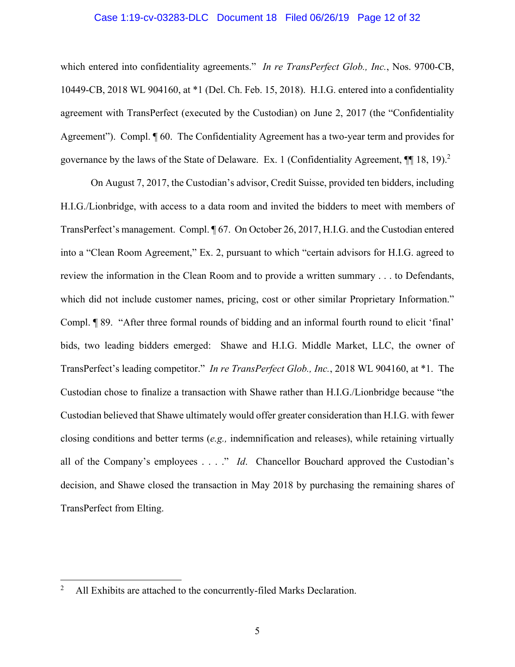#### Case 1:19-cv-03283-DLC Document 18 Filed 06/26/19 Page 12 of 32

which entered into confidentiality agreements." *In re TransPerfect Glob., Inc.*, Nos. 9700-CB, 10449-CB, 2018 WL 904160, at \*1 (Del. Ch. Feb. 15, 2018). H.I.G. entered into a confidentiality agreement with TransPerfect (executed by the Custodian) on June 2, 2017 (the "Confidentiality Agreement"). Compl.  $\llbracket 60$ . The Confidentiality Agreement has a two-year term and provides for governance by the laws of the State of Delaware. Ex. 1 (Confidentiality Agreement,  $\P$  18, 19).<sup>2</sup>

On August 7, 2017, the Custodian's advisor, Credit Suisse, provided ten bidders, including H.I.G./Lionbridge, with access to a data room and invited the bidders to meet with members of TransPerfect's management. Compl. ¶ 67. On October 26, 2017, H.I.G. and the Custodian entered into a "Clean Room Agreement," Ex. 2, pursuant to which "certain advisors for H.I.G. agreed to review the information in the Clean Room and to provide a written summary . . . to Defendants, which did not include customer names, pricing, cost or other similar Proprietary Information." Compl. ¶ 89. "After three formal rounds of bidding and an informal fourth round to elicit 'final' bids, two leading bidders emerged: Shawe and H.I.G. Middle Market, LLC, the owner of TransPerfect's leading competitor." *In re TransPerfect Glob., Inc.*, 2018 WL 904160, at \*1. The Custodian chose to finalize a transaction with Shawe rather than H.I.G./Lionbridge because "the Custodian believed that Shawe ultimately would offer greater consideration than H.I.G. with fewer closing conditions and better terms (*e.g.,* indemnification and releases), while retaining virtually all of the Company's employees . . . ." *Id*. Chancellor Bouchard approved the Custodian's decision, and Shawe closed the transaction in May 2018 by purchasing the remaining shares of TransPerfect from Elting.

 $\overline{a}$ 

<sup>2</sup> All Exhibits are attached to the concurrently-filed Marks Declaration.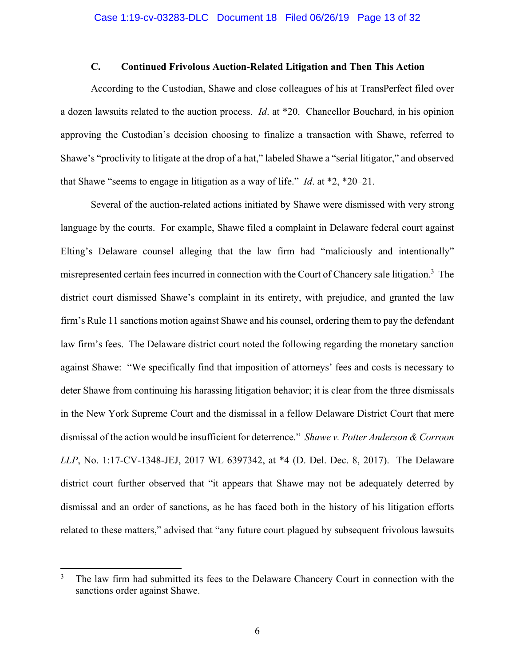# **C. Continued Frivolous Auction-Related Litigation and Then This Action**

According to the Custodian, Shawe and close colleagues of his at TransPerfect filed over a dozen lawsuits related to the auction process. *Id*. at \*20. Chancellor Bouchard, in his opinion approving the Custodian's decision choosing to finalize a transaction with Shawe, referred to Shawe's "proclivity to litigate at the drop of a hat," labeled Shawe a "serial litigator," and observed that Shawe "seems to engage in litigation as a way of life." *Id*. at \*2, \*20–21.

Several of the auction-related actions initiated by Shawe were dismissed with very strong language by the courts. For example, Shawe filed a complaint in Delaware federal court against Elting's Delaware counsel alleging that the law firm had "maliciously and intentionally" misrepresented certain fees incurred in connection with the Court of Chancery sale litigation.<sup>3</sup> The district court dismissed Shawe's complaint in its entirety, with prejudice, and granted the law firm's Rule 11 sanctions motion against Shawe and his counsel, ordering them to pay the defendant law firm's fees. The Delaware district court noted the following regarding the monetary sanction against Shawe: "We specifically find that imposition of attorneys' fees and costs is necessary to deter Shawe from continuing his harassing litigation behavior; it is clear from the three dismissals in the New York Supreme Court and the dismissal in a fellow Delaware District Court that mere dismissal of the action would be insufficient for deterrence." *Shawe v. Potter Anderson & Corroon LLP*, No. 1:17-CV-1348-JEJ, 2017 WL 6397342, at \*4 (D. Del. Dec. 8, 2017). The Delaware district court further observed that "it appears that Shawe may not be adequately deterred by dismissal and an order of sanctions, as he has faced both in the history of his litigation efforts related to these matters," advised that "any future court plagued by subsequent frivolous lawsuits

1

<sup>3</sup> The law firm had submitted its fees to the Delaware Chancery Court in connection with the sanctions order against Shawe.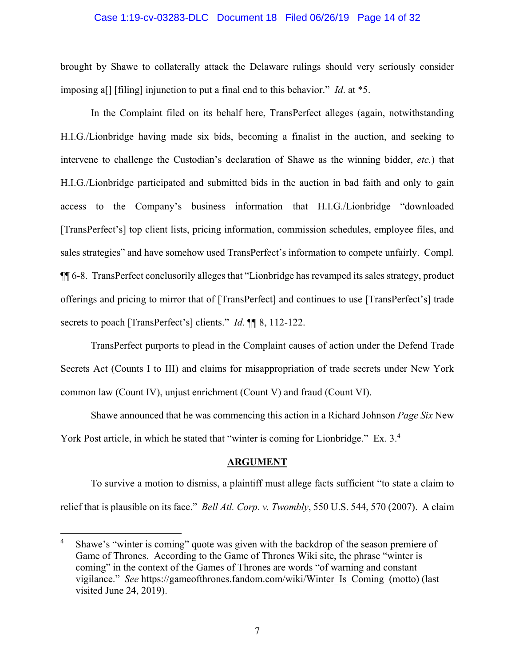#### Case 1:19-cv-03283-DLC Document 18 Filed 06/26/19 Page 14 of 32

brought by Shawe to collaterally attack the Delaware rulings should very seriously consider imposing a[] [filing] injunction to put a final end to this behavior." *Id*. at \*5.

In the Complaint filed on its behalf here, TransPerfect alleges (again, notwithstanding H.I.G./Lionbridge having made six bids, becoming a finalist in the auction, and seeking to intervene to challenge the Custodian's declaration of Shawe as the winning bidder, *etc.*) that H.I.G./Lionbridge participated and submitted bids in the auction in bad faith and only to gain access to the Company's business information—that H.I.G./Lionbridge "downloaded [TransPerfect's] top client lists, pricing information, commission schedules, employee files, and sales strategies" and have somehow used TransPerfect's information to compete unfairly. Compl. ¶¶ 6-8. TransPerfect conclusorily alleges that "Lionbridge has revamped its sales strategy, product offerings and pricing to mirror that of [TransPerfect] and continues to use [TransPerfect's] trade secrets to poach [TransPerfect's] clients." *Id*. ¶¶ 8, 112-122.

TransPerfect purports to plead in the Complaint causes of action under the Defend Trade Secrets Act (Counts I to III) and claims for misappropriation of trade secrets under New York common law (Count IV), unjust enrichment (Count V) and fraud (Count VI).

Shawe announced that he was commencing this action in a Richard Johnson *Page Six* New York Post article, in which he stated that "winter is coming for Lionbridge." Ex. 3.<sup>4</sup>

#### **ARGUMENT**

To survive a motion to dismiss, a plaintiff must allege facts sufficient "to state a claim to relief that is plausible on its face." *Bell Atl. Corp. v. Twombly*, 550 U.S. 544, 570 (2007). A claim

 $\overline{a}$ 

<sup>4</sup> Shawe's "winter is coming" quote was given with the backdrop of the season premiere of Game of Thrones. According to the Game of Thrones Wiki site, the phrase "winter is coming" in the context of the Games of Thrones are words "of warning and constant vigilance." *See* https://gameofthrones.fandom.com/wiki/Winter\_Is\_Coming\_(motto) (last visited June 24, 2019).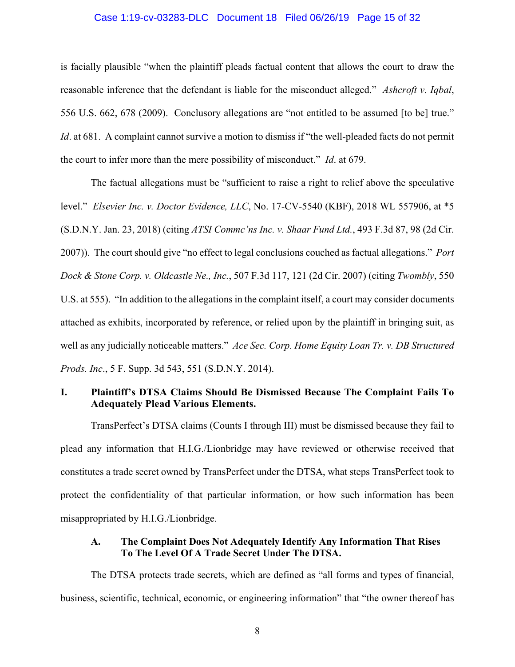#### Case 1:19-cv-03283-DLC Document 18 Filed 06/26/19 Page 15 of 32

is facially plausible "when the plaintiff pleads factual content that allows the court to draw the reasonable inference that the defendant is liable for the misconduct alleged." *Ashcroft v. Iqbal*, 556 U.S. 662, 678 (2009). Conclusory allegations are "not entitled to be assumed [to be] true." *Id.* at 681. A complaint cannot survive a motion to dismiss if "the well-pleaded facts do not permit the court to infer more than the mere possibility of misconduct." *Id*. at 679.

The factual allegations must be "sufficient to raise a right to relief above the speculative level." *Elsevier Inc. v. Doctor Evidence, LLC*, No. 17-CV-5540 (KBF), 2018 WL 557906, at \*5 (S.D.N.Y. Jan. 23, 2018) (citing *ATSI Commc'ns Inc. v. Shaar Fund Ltd.*, 493 F.3d 87, 98 (2d Cir. 2007)). The court should give "no effect to legal conclusions couched as factual allegations." *Port Dock & Stone Corp. v. Oldcastle Ne., Inc.*, 507 F.3d 117, 121 (2d Cir. 2007) (citing *Twombly*, 550 U.S. at 555). "In addition to the allegations in the complaint itself, a court may consider documents attached as exhibits, incorporated by reference, or relied upon by the plaintiff in bringing suit, as well as any judicially noticeable matters." *Ace Sec. Corp. Home Equity Loan Tr. v. DB Structured Prods. Inc*., 5 F. Supp. 3d 543, 551 (S.D.N.Y. 2014).

## **I. Plaintiff's DTSA Claims Should Be Dismissed Because The Complaint Fails To Adequately Plead Various Elements.**

TransPerfect's DTSA claims (Counts I through III) must be dismissed because they fail to plead any information that H.I.G./Lionbridge may have reviewed or otherwise received that constitutes a trade secret owned by TransPerfect under the DTSA, what steps TransPerfect took to protect the confidentiality of that particular information, or how such information has been misappropriated by H.I.G./Lionbridge.

# **A. The Complaint Does Not Adequately Identify Any Information That Rises To The Level Of A Trade Secret Under The DTSA.**

The DTSA protects trade secrets, which are defined as "all forms and types of financial, business, scientific, technical, economic, or engineering information" that "the owner thereof has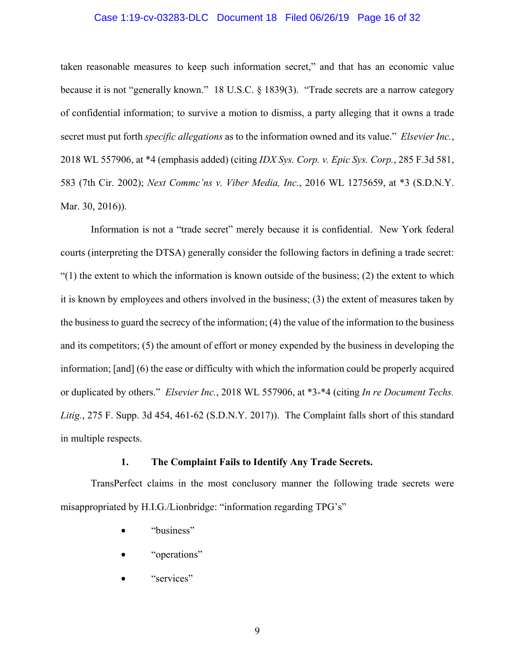#### Case 1:19-cv-03283-DLC Document 18 Filed 06/26/19 Page 16 of 32

taken reasonable measures to keep such information secret," and that has an economic value because it is not "generally known." 18 U.S.C. § 1839(3). "Trade secrets are a narrow category of confidential information; to survive a motion to dismiss, a party alleging that it owns a trade secret must put forth *specific allegations* as to the information owned and its value." *Elsevier Inc.*, 2018 WL 557906, at \*4 (emphasis added) (citing *IDX Sys. Corp. v. Epic Sys. Corp.*, 285 F.3d 581, 583 (7th Cir. 2002); *Next Commc'ns v. Viber Media, Inc.*, 2016 WL 1275659, at \*3 (S.D.N.Y. Mar. 30, 2016)).

Information is not a "trade secret" merely because it is confidential. New York federal courts (interpreting the DTSA) generally consider the following factors in defining a trade secret:  $(1)$  the extent to which the information is known outside of the business; (2) the extent to which it is known by employees and others involved in the business; (3) the extent of measures taken by the business to guard the secrecy of the information; (4) the value of the information to the business and its competitors; (5) the amount of effort or money expended by the business in developing the information; [and] (6) the ease or difficulty with which the information could be properly acquired or duplicated by others." *Elsevier Inc.*, 2018 WL 557906, at \*3-\*4 (citing *In re Document Techs. Litig.*, 275 F. Supp. 3d 454, 461-62 (S.D.N.Y. 2017)). The Complaint falls short of this standard in multiple respects.

#### **1. The Complaint Fails to Identify Any Trade Secrets.**

TransPerfect claims in the most conclusory manner the following trade secrets were misappropriated by H.I.G./Lionbridge: "information regarding TPG's"

- "business"
- "operations"
- "services"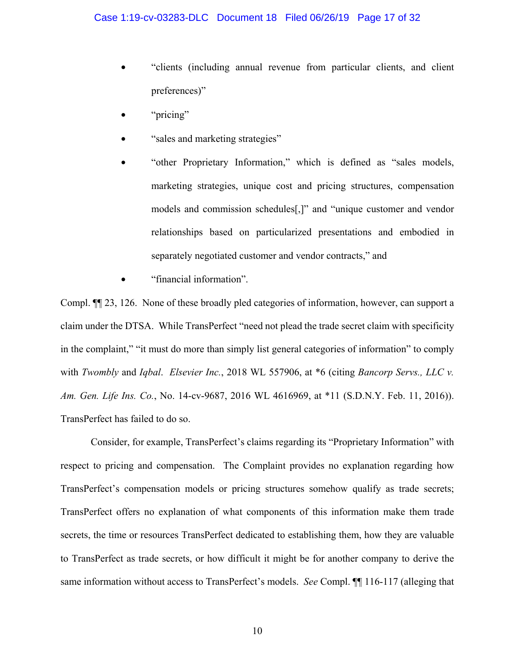- "clients (including annual revenue from particular clients, and client preferences)"
- "pricing"
- "sales and marketing strategies"
- "other Proprietary Information," which is defined as "sales models, marketing strategies, unique cost and pricing structures, compensation models and commission schedules[,]" and "unique customer and vendor relationships based on particularized presentations and embodied in separately negotiated customer and vendor contracts," and
- "financial information".

Compl. ¶¶ 23, 126. None of these broadly pled categories of information, however, can support a claim under the DTSA. While TransPerfect "need not plead the trade secret claim with specificity in the complaint," "it must do more than simply list general categories of information" to comply with *Twombly* and *Iqbal*. *Elsevier Inc.*, 2018 WL 557906, at \*6 (citing *Bancorp Servs., LLC v. Am. Gen. Life Ins. Co.*, No. 14-cv-9687, 2016 WL 4616969, at \*11 (S.D.N.Y. Feb. 11, 2016)). TransPerfect has failed to do so.

Consider, for example, TransPerfect's claims regarding its "Proprietary Information" with respect to pricing and compensation. The Complaint provides no explanation regarding how TransPerfect's compensation models or pricing structures somehow qualify as trade secrets; TransPerfect offers no explanation of what components of this information make them trade secrets, the time or resources TransPerfect dedicated to establishing them, how they are valuable to TransPerfect as trade secrets, or how difficult it might be for another company to derive the same information without access to TransPerfect's models. *See* Compl. ¶¶ 116-117 (alleging that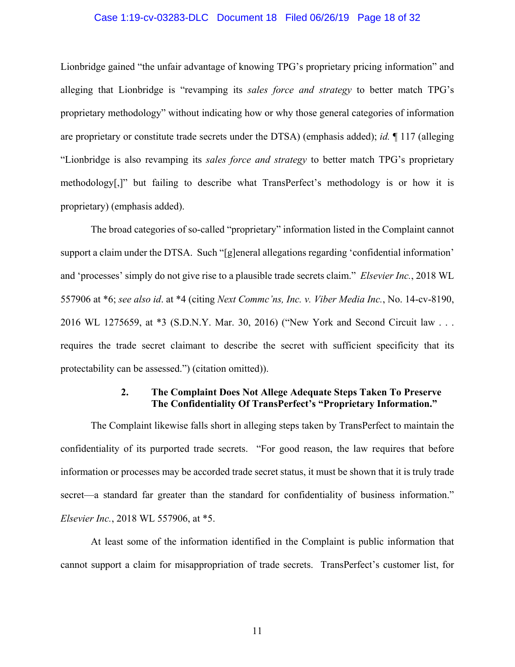#### Case 1:19-cv-03283-DLC Document 18 Filed 06/26/19 Page 18 of 32

Lionbridge gained "the unfair advantage of knowing TPG's proprietary pricing information" and alleging that Lionbridge is "revamping its *sales force and strategy* to better match TPG's proprietary methodology" without indicating how or why those general categories of information are proprietary or constitute trade secrets under the DTSA) (emphasis added); *id.* ¶ 117 (alleging "Lionbridge is also revamping its *sales force and strategy* to better match TPG's proprietary methodology[,]" but failing to describe what TransPerfect's methodology is or how it is proprietary) (emphasis added).

The broad categories of so-called "proprietary" information listed in the Complaint cannot support a claim under the DTSA. Such "[g]eneral allegations regarding 'confidential information' and 'processes' simply do not give rise to a plausible trade secrets claim." *Elsevier Inc.*, 2018 WL 557906 at \*6; *see also id*. at \*4 (citing *Next Commc'ns, Inc. v. Viber Media Inc.*, No. 14-cv-8190, 2016 WL 1275659, at \*3 (S.D.N.Y. Mar. 30, 2016) ("New York and Second Circuit law . . . requires the trade secret claimant to describe the secret with sufficient specificity that its protectability can be assessed.") (citation omitted)).

### **2. The Complaint Does Not Allege Adequate Steps Taken To Preserve The Confidentiality Of TransPerfect's "Proprietary Information."**

The Complaint likewise falls short in alleging steps taken by TransPerfect to maintain the confidentiality of its purported trade secrets. "For good reason, the law requires that before information or processes may be accorded trade secret status, it must be shown that it is truly trade secret—a standard far greater than the standard for confidentiality of business information." *Elsevier Inc.*, 2018 WL 557906, at \*5.

At least some of the information identified in the Complaint is public information that cannot support a claim for misappropriation of trade secrets. TransPerfect's customer list, for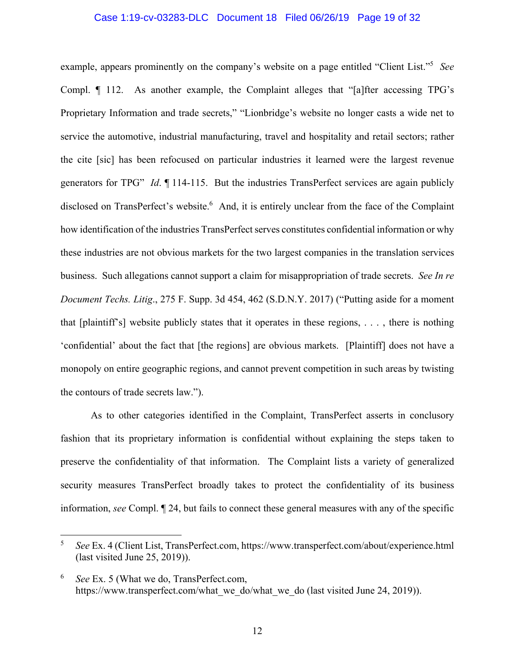#### Case 1:19-cv-03283-DLC Document 18 Filed 06/26/19 Page 19 of 32

example, appears prominently on the company's website on a page entitled "Client List."5 *See* Compl. ¶ 112. As another example, the Complaint alleges that "[a]fter accessing TPG's Proprietary Information and trade secrets," "Lionbridge's website no longer casts a wide net to service the automotive, industrial manufacturing, travel and hospitality and retail sectors; rather the cite [sic] has been refocused on particular industries it learned were the largest revenue generators for TPG" *Id*. ¶ 114-115. But the industries TransPerfect services are again publicly disclosed on TransPerfect's website.<sup>6</sup> And, it is entirely unclear from the face of the Complaint how identification of the industries TransPerfect serves constitutes confidential information or why these industries are not obvious markets for the two largest companies in the translation services business. Such allegations cannot support a claim for misappropriation of trade secrets. *See In re Document Techs. Litig*., 275 F. Supp. 3d 454, 462 (S.D.N.Y. 2017) ("Putting aside for a moment that [plaintiff's] website publicly states that it operates in these regions, . . . , there is nothing 'confidential' about the fact that [the regions] are obvious markets. [Plaintiff] does not have a monopoly on entire geographic regions, and cannot prevent competition in such areas by twisting the contours of trade secrets law.").

As to other categories identified in the Complaint, TransPerfect asserts in conclusory fashion that its proprietary information is confidential without explaining the steps taken to preserve the confidentiality of that information. The Complaint lists a variety of generalized security measures TransPerfect broadly takes to protect the confidentiality of its business information, *see* Compl. ¶ 24, but fails to connect these general measures with any of the specific

1

<sup>5</sup> *See* Ex. 4 (Client List, TransPerfect.com, https://www.transperfect.com/about/experience.html (last visited June 25, 2019)).

<sup>6</sup> *See* Ex. 5 (What we do, TransPerfect.com, https://www.transperfect.com/what\_we\_do/what\_we\_do (last visited June 24, 2019)).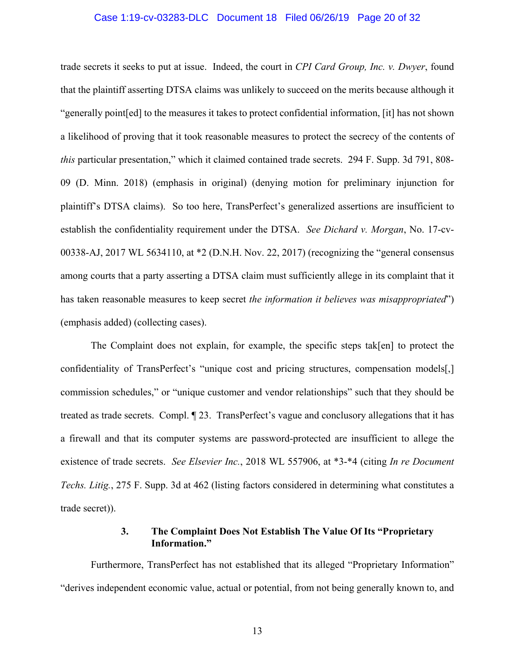#### Case 1:19-cv-03283-DLC Document 18 Filed 06/26/19 Page 20 of 32

trade secrets it seeks to put at issue. Indeed, the court in *CPI Card Group, Inc. v. Dwyer*, found that the plaintiff asserting DTSA claims was unlikely to succeed on the merits because although it "generally point[ed] to the measures it takes to protect confidential information, [it] has not shown a likelihood of proving that it took reasonable measures to protect the secrecy of the contents of *this* particular presentation," which it claimed contained trade secrets. 294 F. Supp. 3d 791, 808- 09 (D. Minn. 2018) (emphasis in original) (denying motion for preliminary injunction for plaintiff's DTSA claims). So too here, TransPerfect's generalized assertions are insufficient to establish the confidentiality requirement under the DTSA. *See Dichard v. Morgan*, No. 17-cv-00338-AJ, 2017 WL 5634110, at \*2 (D.N.H. Nov. 22, 2017) (recognizing the "general consensus among courts that a party asserting a DTSA claim must sufficiently allege in its complaint that it has taken reasonable measures to keep secret *the information it believes was misappropriated*") (emphasis added) (collecting cases).

The Complaint does not explain, for example, the specific steps tak[en] to protect the confidentiality of TransPerfect's "unique cost and pricing structures, compensation models[,] commission schedules," or "unique customer and vendor relationships" such that they should be treated as trade secrets. Compl. ¶ 23. TransPerfect's vague and conclusory allegations that it has a firewall and that its computer systems are password-protected are insufficient to allege the existence of trade secrets. *See Elsevier Inc.*, 2018 WL 557906, at \*3-\*4 (citing *In re Document Techs. Litig.*, 275 F. Supp. 3d at 462 (listing factors considered in determining what constitutes a trade secret)).

## **3. The Complaint Does Not Establish The Value Of Its "Proprietary Information."**

Furthermore, TransPerfect has not established that its alleged "Proprietary Information" "derives independent economic value, actual or potential, from not being generally known to, and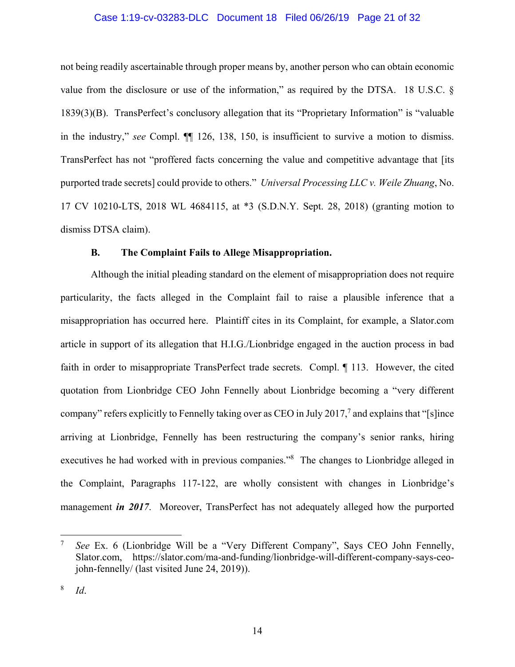#### Case 1:19-cv-03283-DLC Document 18 Filed 06/26/19 Page 21 of 32

not being readily ascertainable through proper means by, another person who can obtain economic value from the disclosure or use of the information," as required by the DTSA. 18 U.S.C. § 1839(3)(B). TransPerfect's conclusory allegation that its "Proprietary Information" is "valuable in the industry," *see* Compl. ¶¶ 126, 138, 150, is insufficient to survive a motion to dismiss. TransPerfect has not "proffered facts concerning the value and competitive advantage that [its purported trade secrets] could provide to others." *Universal Processing LLC v. Weile Zhuang*, No. 17 CV 10210-LTS, 2018 WL 4684115, at \*3 (S.D.N.Y. Sept. 28, 2018) (granting motion to dismiss DTSA claim).

#### **B. The Complaint Fails to Allege Misappropriation.**

Although the initial pleading standard on the element of misappropriation does not require particularity, the facts alleged in the Complaint fail to raise a plausible inference that a misappropriation has occurred here. Plaintiff cites in its Complaint, for example, a Slator.com article in support of its allegation that H.I.G./Lionbridge engaged in the auction process in bad faith in order to misappropriate TransPerfect trade secrets. Compl. ¶ 113. However, the cited quotation from Lionbridge CEO John Fennelly about Lionbridge becoming a "very different company" refers explicitly to Fennelly taking over as CEO in July 2017,<sup>7</sup> and explains that "[s]ince arriving at Lionbridge, Fennelly has been restructuring the company's senior ranks, hiring executives he had worked with in previous companies."<sup>8</sup> The changes to Lionbridge alleged in the Complaint, Paragraphs 117-122, are wholly consistent with changes in Lionbridge's management *in 2017*. Moreover, TransPerfect has not adequately alleged how the purported

 $\overline{a}$ 

<sup>7</sup> *See* Ex. 6 (Lionbridge Will be a "Very Different Company", Says CEO John Fennelly, Slator.com, https://slator.com/ma-and-funding/lionbridge-will-different-company-says-ceojohn-fennelly/ (last visited June 24, 2019)).

<sup>8</sup> *Id*.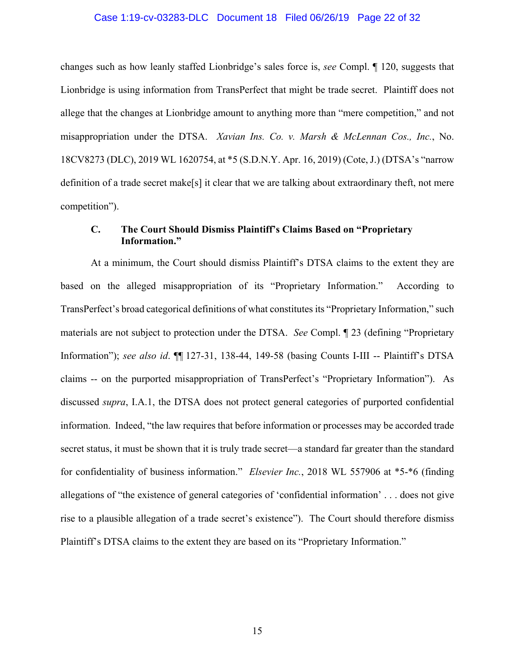#### Case 1:19-cv-03283-DLC Document 18 Filed 06/26/19 Page 22 of 32

changes such as how leanly staffed Lionbridge's sales force is, *see* Compl. ¶ 120, suggests that Lionbridge is using information from TransPerfect that might be trade secret. Plaintiff does not allege that the changes at Lionbridge amount to anything more than "mere competition," and not misappropriation under the DTSA. *Xavian Ins. Co. v. Marsh & McLennan Cos., Inc.*, No. 18CV8273 (DLC), 2019 WL 1620754, at \*5 (S.D.N.Y. Apr. 16, 2019) (Cote, J.) (DTSA's "narrow definition of a trade secret make[s] it clear that we are talking about extraordinary theft, not mere competition").

### **C. The Court Should Dismiss Plaintiff's Claims Based on "Proprietary Information."**

At a minimum, the Court should dismiss Plaintiff's DTSA claims to the extent they are based on the alleged misappropriation of its "Proprietary Information." According to TransPerfect's broad categorical definitions of what constitutes its "Proprietary Information," such materials are not subject to protection under the DTSA. *See* Compl. ¶ 23 (defining "Proprietary Information"); *see also id*. ¶¶ 127-31, 138-44, 149-58 (basing Counts I-III -- Plaintiff's DTSA claims -- on the purported misappropriation of TransPerfect's "Proprietary Information"). As discussed *supra*, I.A.1, the DTSA does not protect general categories of purported confidential information. Indeed, "the law requires that before information or processes may be accorded trade secret status, it must be shown that it is truly trade secret—a standard far greater than the standard for confidentiality of business information." *Elsevier Inc.*, 2018 WL 557906 at \*5-\*6 (finding allegations of "the existence of general categories of 'confidential information' . . . does not give rise to a plausible allegation of a trade secret's existence"). The Court should therefore dismiss Plaintiff's DTSA claims to the extent they are based on its "Proprietary Information."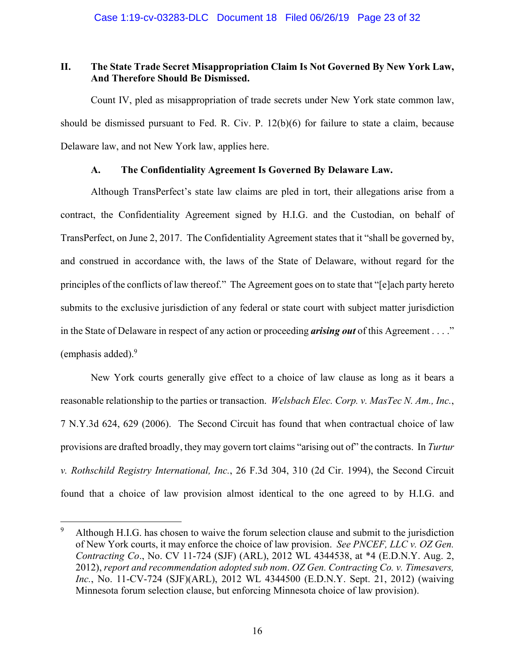# **II. The State Trade Secret Misappropriation Claim Is Not Governed By New York Law, And Therefore Should Be Dismissed.**

Count IV, pled as misappropriation of trade secrets under New York state common law, should be dismissed pursuant to Fed. R. Civ. P. 12(b)(6) for failure to state a claim, because Delaware law, and not New York law, applies here.

## **A. The Confidentiality Agreement Is Governed By Delaware Law.**

Although TransPerfect's state law claims are pled in tort, their allegations arise from a contract, the Confidentiality Agreement signed by H.I.G. and the Custodian, on behalf of TransPerfect, on June 2, 2017. The Confidentiality Agreement states that it "shall be governed by, and construed in accordance with, the laws of the State of Delaware, without regard for the principles of the conflicts of law thereof." The Agreement goes on to state that "[e]ach party hereto submits to the exclusive jurisdiction of any federal or state court with subject matter jurisdiction in the State of Delaware in respect of any action or proceeding *arising out* of this Agreement . . . ." (emphasis added).<sup>9</sup>

 New York courts generally give effect to a choice of law clause as long as it bears a reasonable relationship to the parties or transaction. *Welsbach Elec. Corp. v. MasTec N. Am., Inc.*, 7 N.Y.3d 624, 629 (2006). The Second Circuit has found that when contractual choice of law provisions are drafted broadly, they may govern tort claims "arising out of" the contracts. In *Turtur v. Rothschild Registry International, Inc.*, 26 F.3d 304, 310 (2d Cir. 1994), the Second Circuit found that a choice of law provision almost identical to the one agreed to by H.I.G. and

<u>.</u>

<sup>9</sup> Although H.I.G. has chosen to waive the forum selection clause and submit to the jurisdiction of New York courts, it may enforce the choice of law provision. *See PNCEF, LLC v. OZ Gen. Contracting Co*., No. CV 11-724 (SJF) (ARL), 2012 WL 4344538, at \*4 (E.D.N.Y. Aug. 2, 2012), *report and recommendation adopted sub nom*. *OZ Gen. Contracting Co. v. Timesavers, Inc.*, No. 11-CV-724 (SJF)(ARL), 2012 WL 4344500 (E.D.N.Y. Sept. 21, 2012) (waiving Minnesota forum selection clause, but enforcing Minnesota choice of law provision).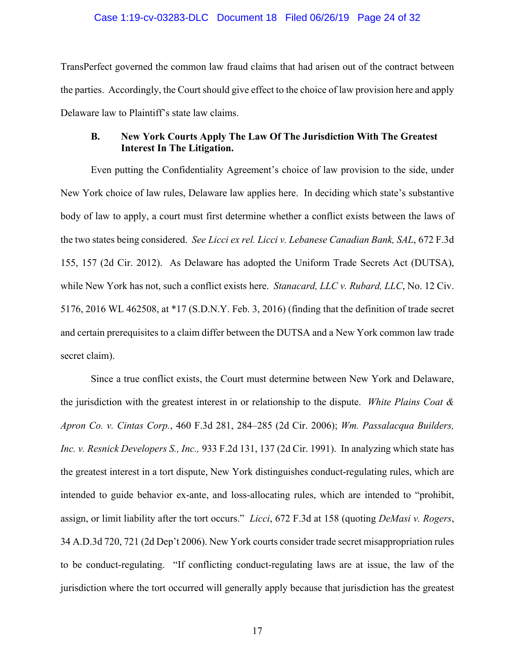#### Case 1:19-cv-03283-DLC Document 18 Filed 06/26/19 Page 24 of 32

TransPerfect governed the common law fraud claims that had arisen out of the contract between the parties. Accordingly, the Court should give effect to the choice of law provision here and apply Delaware law to Plaintiff's state law claims.

## **B. New York Courts Apply The Law Of The Jurisdiction With The Greatest Interest In The Litigation.**

Even putting the Confidentiality Agreement's choice of law provision to the side, under New York choice of law rules, Delaware law applies here. In deciding which state's substantive body of law to apply, a court must first determine whether a conflict exists between the laws of the two states being considered. *See Licci ex rel. Licci v. Lebanese Canadian Bank, SAL*, 672 F.3d 155, 157 (2d Cir. 2012). As Delaware has adopted the Uniform Trade Secrets Act (DUTSA), while New York has not, such a conflict exists here. *Stanacard, LLC v. Rubard, LLC*, No. 12 Civ. 5176, 2016 WL 462508, at \*17 (S.D.N.Y. Feb. 3, 2016) (finding that the definition of trade secret and certain prerequisites to a claim differ between the DUTSA and a New York common law trade secret claim).

 Since a true conflict exists, the Court must determine between New York and Delaware, the jurisdiction with the greatest interest in or relationship to the dispute. *White Plains Coat & Apron Co. v. Cintas Corp.*, 460 F.3d 281, 284–285 (2d Cir. 2006); *Wm. Passalacqua Builders, Inc. v. Resnick Developers S., Inc.,* 933 F.2d 131, 137 (2d Cir. 1991). In analyzing which state has the greatest interest in a tort dispute, New York distinguishes conduct-regulating rules, which are intended to guide behavior ex-ante, and loss-allocating rules, which are intended to "prohibit, assign, or limit liability after the tort occurs." *Licci*, 672 F.3d at 158 (quoting *DeMasi v. Rogers*, 34 A.D.3d 720, 721 (2d Dep't 2006). New York courts consider trade secret misappropriation rules to be conduct-regulating. "If conflicting conduct-regulating laws are at issue, the law of the jurisdiction where the tort occurred will generally apply because that jurisdiction has the greatest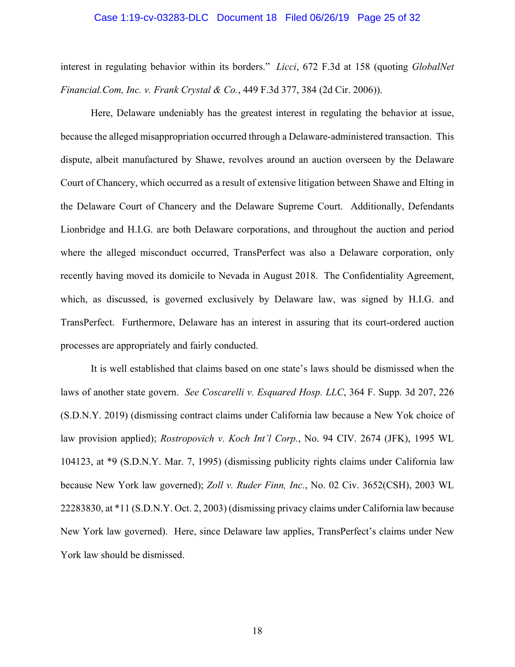#### Case 1:19-cv-03283-DLC Document 18 Filed 06/26/19 Page 25 of 32

interest in regulating behavior within its borders." *Licci*, 672 F.3d at 158 (quoting *GlobalNet Financial.Com, Inc. v. Frank Crystal & Co.*, 449 F.3d 377, 384 (2d Cir. 2006)).

Here, Delaware undeniably has the greatest interest in regulating the behavior at issue, because the alleged misappropriation occurred through a Delaware-administered transaction. This dispute, albeit manufactured by Shawe, revolves around an auction overseen by the Delaware Court of Chancery, which occurred as a result of extensive litigation between Shawe and Elting in the Delaware Court of Chancery and the Delaware Supreme Court. Additionally, Defendants Lionbridge and H.I.G. are both Delaware corporations, and throughout the auction and period where the alleged misconduct occurred, TransPerfect was also a Delaware corporation, only recently having moved its domicile to Nevada in August 2018. The Confidentiality Agreement, which, as discussed, is governed exclusively by Delaware law, was signed by H.I.G. and TransPerfect. Furthermore, Delaware has an interest in assuring that its court-ordered auction processes are appropriately and fairly conducted.

It is well established that claims based on one state's laws should be dismissed when the laws of another state govern. *See Coscarelli v. Esquared Hosp. LLC*, 364 F. Supp. 3d 207, 226 (S.D.N.Y. 2019) (dismissing contract claims under California law because a New Yok choice of law provision applied); *Rostropovich v. Koch Int'l Corp.*, No. 94 CIV. 2674 (JFK), 1995 WL 104123, at \*9 (S.D.N.Y. Mar. 7, 1995) (dismissing publicity rights claims under California law because New York law governed); *Zoll v. Ruder Finn, Inc.*, No. 02 Civ. 3652(CSH), 2003 WL 22283830, at \*11 (S.D.N.Y. Oct. 2, 2003) (dismissing privacy claims under California law because New York law governed). Here, since Delaware law applies, TransPerfect's claims under New York law should be dismissed.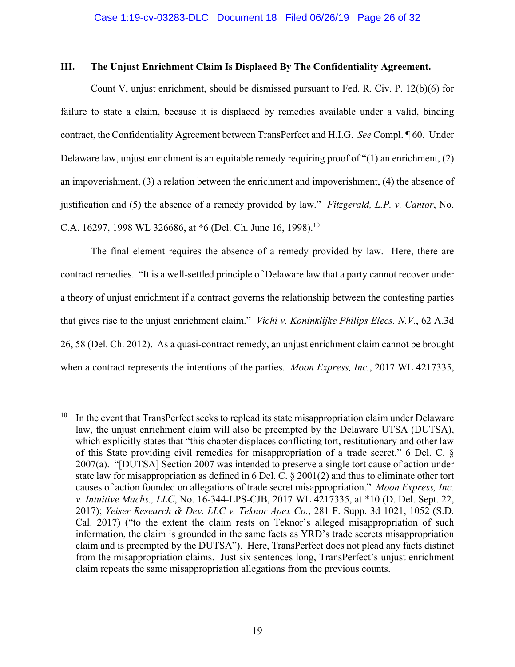## **III. The Unjust Enrichment Claim Is Displaced By The Confidentiality Agreement.**

Count V, unjust enrichment, should be dismissed pursuant to Fed. R. Civ. P. 12(b)(6) for failure to state a claim, because it is displaced by remedies available under a valid, binding contract, the Confidentiality Agreement between TransPerfect and H.I.G. *See* Compl. ¶ 60. Under Delaware law, unjust enrichment is an equitable remedy requiring proof of "(1) an enrichment, (2) an impoverishment, (3) a relation between the enrichment and impoverishment, (4) the absence of justification and (5) the absence of a remedy provided by law." *Fitzgerald, L.P. v. Cantor*, No. C.A. 16297, 1998 WL 326686, at  $*6$  (Del. Ch. June 16, 1998).<sup>10</sup>

The final element requires the absence of a remedy provided by law. Here, there are contract remedies. "It is a well-settled principle of Delaware law that a party cannot recover under a theory of unjust enrichment if a contract governs the relationship between the contesting parties that gives rise to the unjust enrichment claim." *Vichi v. Koninklijke Philips Elecs. N.V.*, 62 A.3d 26, 58 (Del. Ch. 2012). As a quasi-contract remedy, an unjust enrichment claim cannot be brought when a contract represents the intentions of the parties. *Moon Express, Inc.*, 2017 WL 4217335,

<u>.</u>

 $10$  In the event that TransPerfect seeks to replead its state misappropriation claim under Delaware law, the unjust enrichment claim will also be preempted by the Delaware UTSA (DUTSA), which explicitly states that "this chapter displaces conflicting tort, restitutionary and other law of this State providing civil remedies for misappropriation of a trade secret." 6 Del. C. § 2007(a). "[DUTSA] Section 2007 was intended to preserve a single tort cause of action under state law for misappropriation as defined in 6 Del. C. § 2001(2) and thus to eliminate other tort causes of action founded on allegations of trade secret misappropriation." *Moon Express, Inc. v. Intuitive Machs., LLC*, No. 16-344-LPS-CJB, 2017 WL 4217335, at \*10 (D. Del. Sept. 22, 2017); *Yeiser Research & Dev. LLC v. Teknor Apex Co.*, 281 F. Supp. 3d 1021, 1052 (S.D. Cal. 2017) ("to the extent the claim rests on Teknor's alleged misappropriation of such information, the claim is grounded in the same facts as YRD's trade secrets misappropriation claim and is preempted by the DUTSA"). Here, TransPerfect does not plead any facts distinct from the misappropriation claims. Just six sentences long, TransPerfect's unjust enrichment claim repeats the same misappropriation allegations from the previous counts.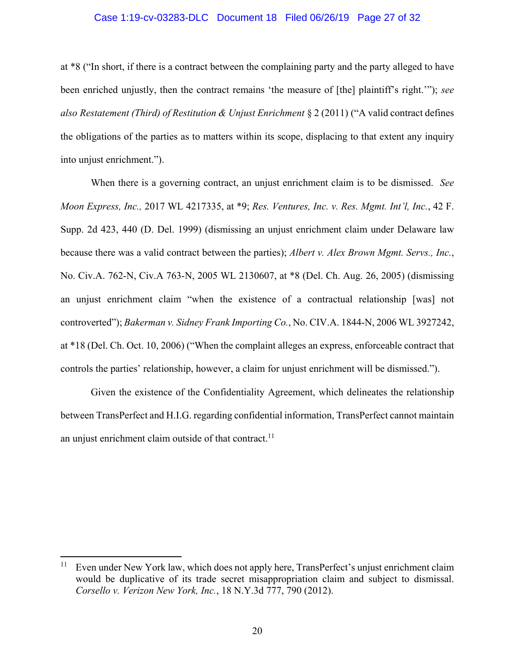#### Case 1:19-cv-03283-DLC Document 18 Filed 06/26/19 Page 27 of 32

at \*8 ("In short, if there is a contract between the complaining party and the party alleged to have been enriched unjustly, then the contract remains 'the measure of [the] plaintiff's right.'"); *see also Restatement (Third) of Restitution & Unjust Enrichment* § 2 (2011) ("A valid contract defines the obligations of the parties as to matters within its scope, displacing to that extent any inquiry into unjust enrichment.").

 When there is a governing contract, an unjust enrichment claim is to be dismissed. *See Moon Express, Inc.,* 2017 WL 4217335, at \*9; *Res. Ventures, Inc. v. Res. Mgmt. Int'l, Inc.*, 42 F. Supp. 2d 423, 440 (D. Del. 1999) (dismissing an unjust enrichment claim under Delaware law because there was a valid contract between the parties); *Albert v. Alex Brown Mgmt. Servs., Inc.*, No. Civ.A. 762-N, Civ.A 763-N, 2005 WL 2130607, at \*8 (Del. Ch. Aug. 26, 2005) (dismissing an unjust enrichment claim "when the existence of a contractual relationship [was] not controverted"); *Bakerman v. Sidney Frank Importing Co.*, No. CIV.A. 1844-N, 2006 WL 3927242, at \*18 (Del. Ch. Oct. 10, 2006) ("When the complaint alleges an express, enforceable contract that controls the parties' relationship, however, a claim for unjust enrichment will be dismissed.").

Given the existence of the Confidentiality Agreement, which delineates the relationship between TransPerfect and H.I.G. regarding confidential information, TransPerfect cannot maintain an unjust enrichment claim outside of that contract.<sup>11</sup>

1

<sup>&</sup>lt;sup>11</sup> Even under New York law, which does not apply here, TransPerfect's unjust enrichment claim would be duplicative of its trade secret misappropriation claim and subject to dismissal. *Corsello v. Verizon New York, Inc.*, 18 N.Y.3d 777, 790 (2012).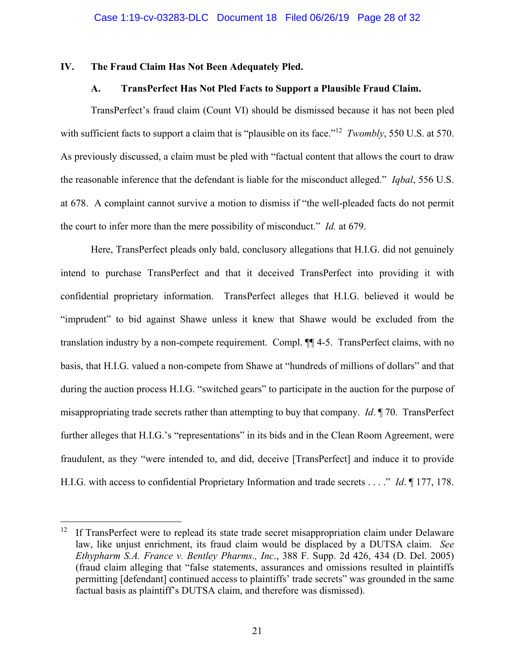## **IV. The Fraud Claim Has Not Been Adequately Pled.**

## **A. TransPerfect Has Not Pled Facts to Support a Plausible Fraud Claim.**

 TransPerfect's fraud claim (Count VI) should be dismissed because it has not been pled with sufficient facts to support a claim that is "plausible on its face."<sup>12</sup> *Twombly*, 550 U.S. at 570. As previously discussed, a claim must be pled with "factual content that allows the court to draw the reasonable inference that the defendant is liable for the misconduct alleged." *Iqbal*, 556 U.S. at 678. A complaint cannot survive a motion to dismiss if "the well-pleaded facts do not permit the court to infer more than the mere possibility of misconduct." *Id.* at 679.

Here, TransPerfect pleads only bald, conclusory allegations that H.I.G. did not genuinely intend to purchase TransPerfect and that it deceived TransPerfect into providing it with confidential proprietary information. TransPerfect alleges that H.I.G. believed it would be "imprudent" to bid against Shawe unless it knew that Shawe would be excluded from the translation industry by a non-compete requirement. Compl. ¶¶ 4-5. TransPerfect claims, with no basis, that H.I.G. valued a non-compete from Shawe at "hundreds of millions of dollars" and that during the auction process H.I.G. "switched gears" to participate in the auction for the purpose of misappropriating trade secrets rather than attempting to buy that company. *Id*. ¶ 70. TransPerfect further alleges that H.I.G.'s "representations" in its bids and in the Clean Room Agreement, were fraudulent, as they "were intended to, and did, deceive [TransPerfect] and induce it to provide H.I.G. with access to confidential Proprietary Information and trade secrets . . . ." *Id*. ¶ 177, 178.

 $\overline{a}$ 

 $12$  If TransPerfect were to replead its state trade secret misappropriation claim under Delaware law, like unjust enrichment, its fraud claim would be displaced by a DUTSA claim. *See Ethypharm S.A. France v. Bentley Pharms., Inc*., 388 F. Supp. 2d 426, 434 (D. Del. 2005) (fraud claim alleging that "false statements, assurances and omissions resulted in plaintiffs permitting [defendant] continued access to plaintiffs' trade secrets" was grounded in the same factual basis as plaintiff's DUTSA claim, and therefore was dismissed).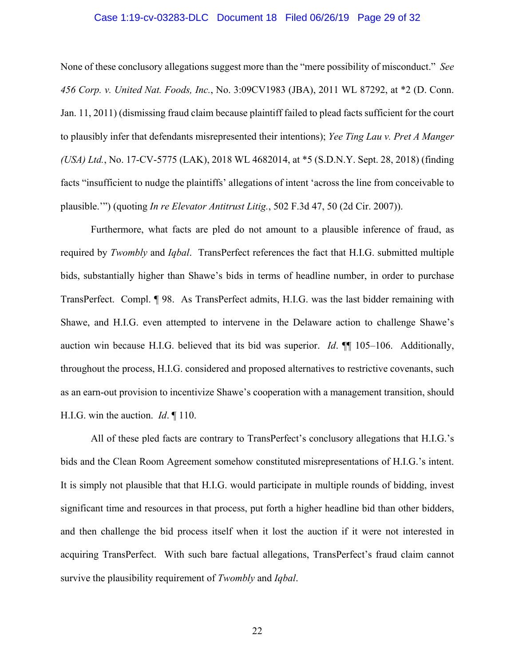#### Case 1:19-cv-03283-DLC Document 18 Filed 06/26/19 Page 29 of 32

None of these conclusory allegations suggest more than the "mere possibility of misconduct." *See 456 Corp. v. United Nat. Foods, Inc.*, No. 3:09CV1983 (JBA), 2011 WL 87292, at \*2 (D. Conn. Jan. 11, 2011) (dismissing fraud claim because plaintiff failed to plead facts sufficient for the court to plausibly infer that defendants misrepresented their intentions); *Yee Ting Lau v. Pret A Manger (USA) Ltd.*, No. 17-CV-5775 (LAK), 2018 WL 4682014, at \*5 (S.D.N.Y. Sept. 28, 2018) (finding facts "insufficient to nudge the plaintiffs' allegations of intent 'across the line from conceivable to plausible.'") (quoting *In re Elevator Antitrust Litig.*, 502 F.3d 47, 50 (2d Cir. 2007)).

Furthermore, what facts are pled do not amount to a plausible inference of fraud, as required by *Twombly* and *Iqbal*. TransPerfect references the fact that H.I.G. submitted multiple bids, substantially higher than Shawe's bids in terms of headline number, in order to purchase TransPerfect. Compl. ¶ 98. As TransPerfect admits, H.I.G. was the last bidder remaining with Shawe, and H.I.G. even attempted to intervene in the Delaware action to challenge Shawe's auction win because H.I.G. believed that its bid was superior. *Id.*  $\P$  105–106. Additionally, throughout the process, H.I.G. considered and proposed alternatives to restrictive covenants, such as an earn-out provision to incentivize Shawe's cooperation with a management transition, should H.I.G. win the auction. *Id*. ¶ 110.

All of these pled facts are contrary to TransPerfect's conclusory allegations that H.I.G.'s bids and the Clean Room Agreement somehow constituted misrepresentations of H.I.G.'s intent. It is simply not plausible that that H.I.G. would participate in multiple rounds of bidding, invest significant time and resources in that process, put forth a higher headline bid than other bidders, and then challenge the bid process itself when it lost the auction if it were not interested in acquiring TransPerfect. With such bare factual allegations, TransPerfect's fraud claim cannot survive the plausibility requirement of *Twombly* and *Iqbal*.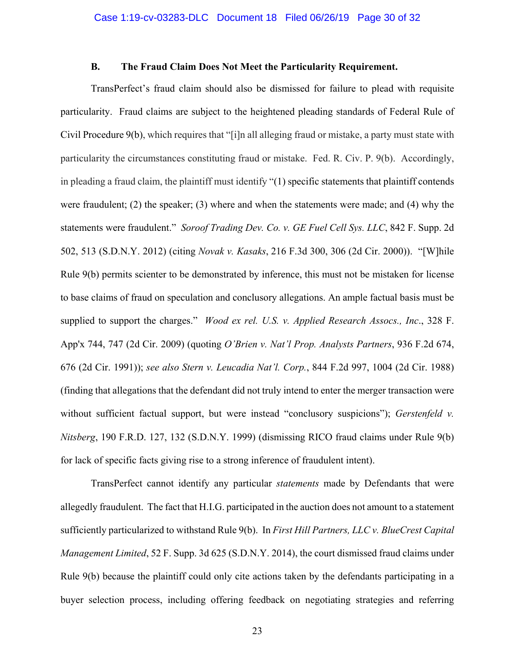## **B. The Fraud Claim Does Not Meet the Particularity Requirement.**

TransPerfect's fraud claim should also be dismissed for failure to plead with requisite particularity. Fraud claims are subject to the heightened pleading standards of Federal Rule of Civil Procedure 9(b), which requires that "[i]n all alleging fraud or mistake, a party must state with particularity the circumstances constituting fraud or mistake. Fed. R. Civ. P. 9(b). Accordingly, in pleading a fraud claim, the plaintiff must identify "(1) specific statements that plaintiff contends were fraudulent; (2) the speaker; (3) where and when the statements were made; and (4) why the statements were fraudulent." *Soroof Trading Dev. Co. v. GE Fuel Cell Sys. LLC*, 842 F. Supp. 2d 502, 513 (S.D.N.Y. 2012) (citing *Novak v. Kasaks*, 216 F.3d 300, 306 (2d Cir. 2000)). "[W]hile Rule 9(b) permits scienter to be demonstrated by inference, this must not be mistaken for license to base claims of fraud on speculation and conclusory allegations. An ample factual basis must be supplied to support the charges." *Wood ex rel. U.S. v. Applied Research Assocs., Inc*., 328 F. App'x 744, 747 (2d Cir. 2009) (quoting *O'Brien v. Nat'l Prop. Analysts Partners*, 936 F.2d 674, 676 (2d Cir. 1991)); *see also Stern v. Leucadia Nat'l. Corp.*, 844 F.2d 997, 1004 (2d Cir. 1988) (finding that allegations that the defendant did not truly intend to enter the merger transaction were without sufficient factual support, but were instead "conclusory suspicions"); *Gerstenfeld v. Nitsberg*, 190 F.R.D. 127, 132 (S.D.N.Y. 1999) (dismissing RICO fraud claims under Rule 9(b) for lack of specific facts giving rise to a strong inference of fraudulent intent).

TransPerfect cannot identify any particular *statements* made by Defendants that were allegedly fraudulent. The fact that H.I.G. participated in the auction does not amount to a statement sufficiently particularized to withstand Rule 9(b). In *First Hill Partners, LLC v. BlueCrest Capital Management Limited*, 52 F. Supp. 3d 625 (S.D.N.Y. 2014), the court dismissed fraud claims under Rule 9(b) because the plaintiff could only cite actions taken by the defendants participating in a buyer selection process, including offering feedback on negotiating strategies and referring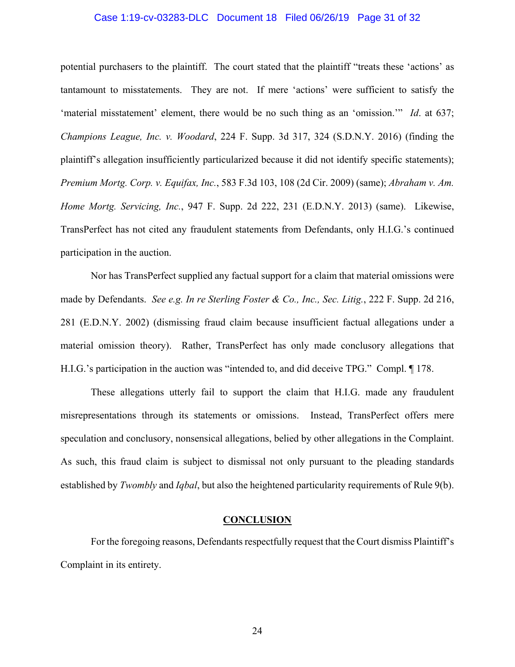#### Case 1:19-cv-03283-DLC Document 18 Filed 06/26/19 Page 31 of 32

potential purchasers to the plaintiff. The court stated that the plaintiff "treats these 'actions' as tantamount to misstatements. They are not. If mere 'actions' were sufficient to satisfy the 'material misstatement' element, there would be no such thing as an 'omission.'" *Id*. at 637; *Champions League, Inc. v. Woodard*, 224 F. Supp. 3d 317, 324 (S.D.N.Y. 2016) (finding the plaintiff's allegation insufficiently particularized because it did not identify specific statements); *Premium Mortg. Corp. v. Equifax, Inc.*, 583 F.3d 103, 108 (2d Cir. 2009) (same); *Abraham v. Am. Home Mortg. Servicing, Inc.*, 947 F. Supp. 2d 222, 231 (E.D.N.Y. 2013) (same). Likewise, TransPerfect has not cited any fraudulent statements from Defendants, only H.I.G.'s continued participation in the auction.

Nor has TransPerfect supplied any factual support for a claim that material omissions were made by Defendants. *See e.g. In re Sterling Foster & Co., Inc., Sec. Litig.*, 222 F. Supp. 2d 216, 281 (E.D.N.Y. 2002) (dismissing fraud claim because insufficient factual allegations under a material omission theory). Rather, TransPerfect has only made conclusory allegations that H.I.G.'s participation in the auction was "intended to, and did deceive TPG." Compl. ¶ 178.

These allegations utterly fail to support the claim that H.I.G. made any fraudulent misrepresentations through its statements or omissions. Instead, TransPerfect offers mere speculation and conclusory, nonsensical allegations, belied by other allegations in the Complaint. As such, this fraud claim is subject to dismissal not only pursuant to the pleading standards established by *Twombly* and *Iqbal*, but also the heightened particularity requirements of Rule 9(b).

#### **CONCLUSION**

For the foregoing reasons, Defendants respectfully request that the Court dismiss Plaintiff's Complaint in its entirety.